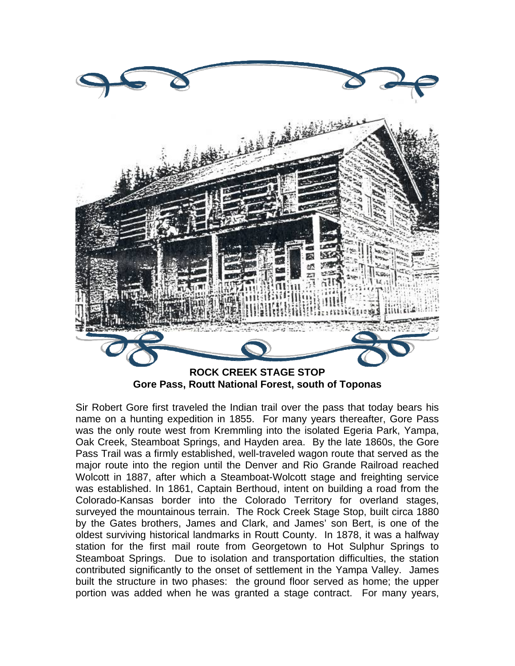

**Gore Pass, Routt National Forest, south of Toponas** 

Sir Robert Gore first traveled the Indian trail over the pass that today bears his name on a hunting expedition in 1855. For many years thereafter, Gore Pass was the only route west from Kremmling into the isolated Egeria Park, Yampa, Oak Creek, Steamboat Springs, and Hayden area. By the late 1860s, the Gore Pass Trail was a firmly established, well-traveled wagon route that served as the major route into the region until the Denver and Rio Grande Railroad reached Wolcott in 1887, after which a Steamboat-Wolcott stage and freighting service was established. In 1861, Captain Berthoud, intent on building a road from the Colorado-Kansas border into the Colorado Territory for overland stages, surveyed the mountainous terrain. The Rock Creek Stage Stop, built circa 1880 by the Gates brothers, James and Clark, and James' son Bert, is one of the oldest surviving historical landmarks in Routt County. In 1878, it was a halfway station for the first mail route from Georgetown to Hot Sulphur Springs to Steamboat Springs. Due to isolation and transportation difficulties, the station contributed significantly to the onset of settlement in the Yampa Valley. James built the structure in two phases: the ground floor served as home; the upper portion was added when he was granted a stage contract. For many years,